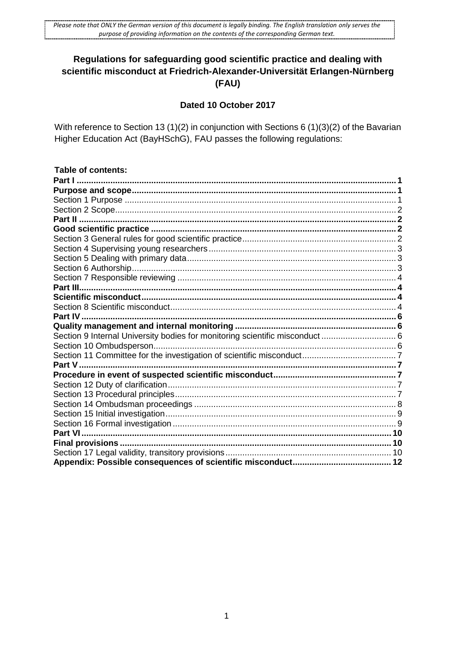# **Regulations for safeguarding good scientific practice and dealing with scientific misconduct at Friedrich-Alexander-Universität Erlangen-Nürnberg (FAU)**

## **Dated 10 October 2017**

With reference to Section 13 (1)(2) in conjunction with Sections 6 (1)(3)(2) of the Bavarian Higher Education Act (BayHSchG), FAU passes the following regulations:

| <b>Table of contents:</b>                                                    |  |
|------------------------------------------------------------------------------|--|
|                                                                              |  |
|                                                                              |  |
|                                                                              |  |
|                                                                              |  |
|                                                                              |  |
|                                                                              |  |
|                                                                              |  |
|                                                                              |  |
|                                                                              |  |
|                                                                              |  |
|                                                                              |  |
|                                                                              |  |
|                                                                              |  |
|                                                                              |  |
|                                                                              |  |
|                                                                              |  |
| Section 9 Internal University bodies for monitoring scientific misconduct  6 |  |
|                                                                              |  |
|                                                                              |  |
|                                                                              |  |
|                                                                              |  |
|                                                                              |  |
|                                                                              |  |
|                                                                              |  |
|                                                                              |  |
|                                                                              |  |
|                                                                              |  |
|                                                                              |  |
|                                                                              |  |
|                                                                              |  |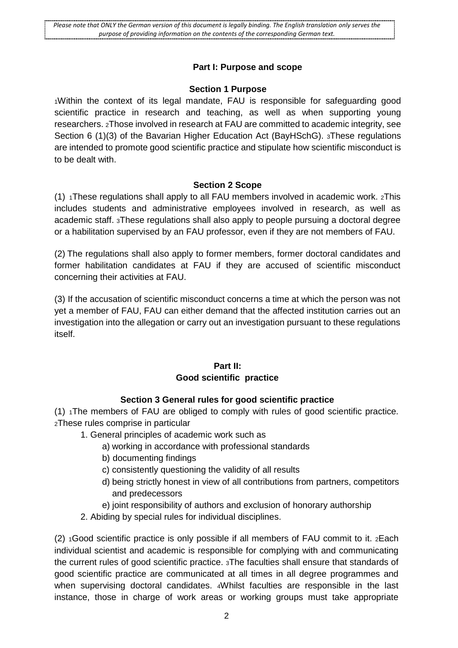#### **Part I: Purpose and scope**

#### **Section 1 Purpose**

<span id="page-1-0"></span>1Within the context of its legal mandate, FAU is responsible for safeguarding good scientific practice in research and teaching, as well as when supporting young researchers. 2Those involved in research at FAU are committed to academic integrity, see Section 6 (1)(3) of the Bavarian Higher Education Act (BayHSchG). 3These regulations are intended to promote good scientific practice and stipulate how scientific misconduct is to be dealt with.

#### **Section 2 Scope**

<span id="page-1-1"></span>(1)  $1$ These regulations shall apply to all FAU members involved in academic work.  $2$ This includes students and administrative employees involved in research, as well as academic staff. 3These regulations shall also apply to people pursuing a doctoral degree or a habilitation supervised by an FAU professor, even if they are not members of FAU.

(2) The regulations shall also apply to former members, former doctoral candidates and former habilitation candidates at FAU if they are accused of scientific misconduct concerning their activities at FAU.

(3) If the accusation of scientific misconduct concerns a time at which the person was not yet a member of FAU, FAU can either demand that the affected institution carries out an investigation into the allegation or carry out an investigation pursuant to these regulations itself.

### **Part II: Good scientific practice**

### **Section 3 General rules for good scientific practice**

<span id="page-1-4"></span><span id="page-1-3"></span><span id="page-1-2"></span>(1) 1The members of FAU are obliged to comply with rules of good scientific practice. 2These rules comprise in particular

- 1. General principles of academic work such as
	- a) working in accordance with professional standards
	- b) documenting findings
	- c) consistently questioning the validity of all results
	- d) being strictly honest in view of all contributions from partners, competitors and predecessors
	- e) joint responsibility of authors and exclusion of honorary authorship
- 2. Abiding by special rules for individual disciplines.

(2) 1Good scientific practice is only possible if all members of FAU commit to it. 2Each individual scientist and academic is responsible for complying with and communicating the current rules of good scientific practice. 3The faculties shall ensure that standards of good scientific practice are communicated at all times in all degree programmes and when supervising doctoral candidates. 4Whilst faculties are responsible in the last instance, those in charge of work areas or working groups must take appropriate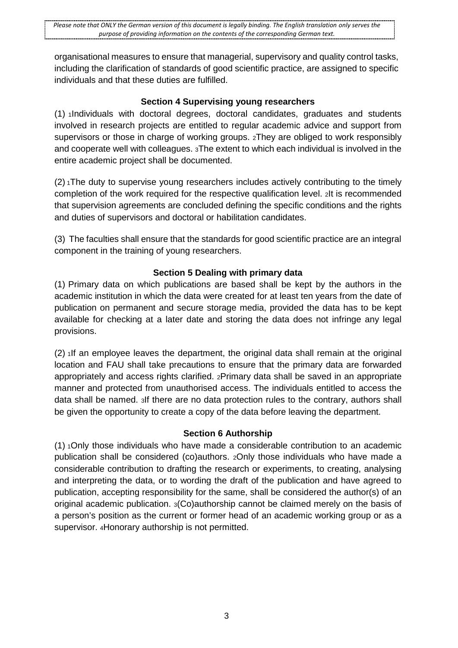organisational measures to ensure that managerial, supervisory and quality control tasks, including the clarification of standards of good scientific practice, are assigned to specific individuals and that these duties are fulfilled.

## **Section 4 Supervising young researchers**

<span id="page-2-0"></span>(1) 1Individuals with doctoral degrees, doctoral candidates, graduates and students involved in research projects are entitled to regular academic advice and support from supervisors or those in charge of working groups. 2They are obliged to work responsibly and cooperate well with colleagues. 3The extent to which each individual is involved in the entire academic project shall be documented.

 $(2)$  The duty to supervise young researchers includes actively contributing to the timely completion of the work required for the respective qualification level. 2It is recommended that supervision agreements are concluded defining the specific conditions and the rights and duties of supervisors and doctoral or habilitation candidates.

(3) The faculties shall ensure that the standards for good scientific practice are an integral component in the training of young researchers.

## **Section 5 Dealing with primary data**

<span id="page-2-1"></span>(1) Primary data on which publications are based shall be kept by the authors in the academic institution in which the data were created for at least ten years from the date of publication on permanent and secure storage media, provided the data has to be kept available for checking at a later date and storing the data does not infringe any legal provisions.

(2) 1If an employee leaves the department, the original data shall remain at the original location and FAU shall take precautions to ensure that the primary data are forwarded appropriately and access rights clarified. 2Primary data shall be saved in an appropriate manner and protected from unauthorised access. The individuals entitled to access the data shall be named. 3If there are no data protection rules to the contrary, authors shall be given the opportunity to create a copy of the data before leaving the department.

### **Section 6 Authorship**

<span id="page-2-2"></span>(1) 1Only those individuals who have made a considerable contribution to an academic publication shall be considered (co)authors. 2Only those individuals who have made a considerable contribution to drafting the research or experiments, to creating, analysing and interpreting the data, or to wording the draft of the publication and have agreed to publication, accepting responsibility for the same, shall be considered the author(s) of an original academic publication. 3(Co)authorship cannot be claimed merely on the basis of a person's position as the current or former head of an academic working group or as a supervisor. 4Honorary authorship is not permitted.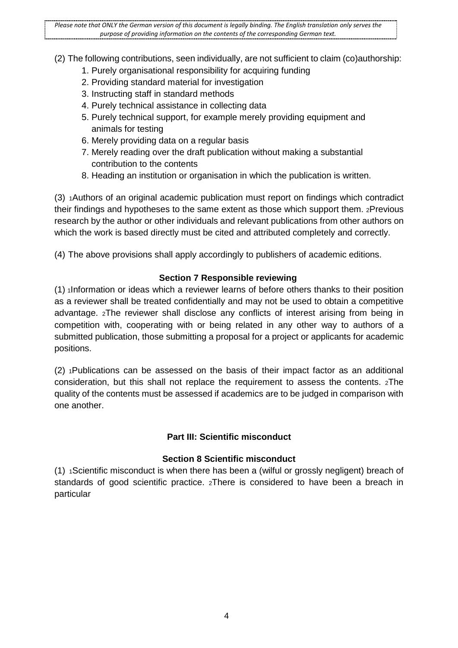*Please note that ONLY the German version of this document is legally binding. The English translation only serves the purpose of providing information on the contents of the corresponding German text.*

(2) The following contributions, seen individually, are not sufficient to claim (co)authorship:

- 1. Purely organisational responsibility for acquiring funding
- 2. Providing standard material for investigation
- 3. Instructing staff in standard methods
- 4. Purely technical assistance in collecting data
- 5. Purely technical support, for example merely providing equipment and animals for testing
- 6. Merely providing data on a regular basis
- 7. Merely reading over the draft publication without making a substantial contribution to the contents
- 8. Heading an institution or organisation in which the publication is written.

(3) 1Authors of an original academic publication must report on findings which contradict their findings and hypotheses to the same extent as those which support them. 2Previous research by the author or other individuals and relevant publications from other authors on which the work is based directly must be cited and attributed completely and correctly.

(4) The above provisions shall apply accordingly to publishers of academic editions.

### **Section 7 Responsible reviewing**

<span id="page-3-0"></span>(1) 1Information or ideas which a reviewer learns of before others thanks to their position as a reviewer shall be treated confidentially and may not be used to obtain a competitive advantage. 2The reviewer shall disclose any conflicts of interest arising from being in competition with, cooperating with or being related in any other way to authors of a submitted publication, those submitting a proposal for a project or applicants for academic positions.

(2) 1Publications can be assessed on the basis of their impact factor as an additional consideration, but this shall not replace the requirement to assess the contents. 2The quality of the contents must be assessed if academics are to be judged in comparison with one another.

## **Part III: Scientific misconduct**

### **Section 8 Scientific misconduct**

(1) 1Scientific misconduct is when there has been a (wilful or grossly negligent) breach of standards of good scientific practice. 2There is considered to have been a breach in particular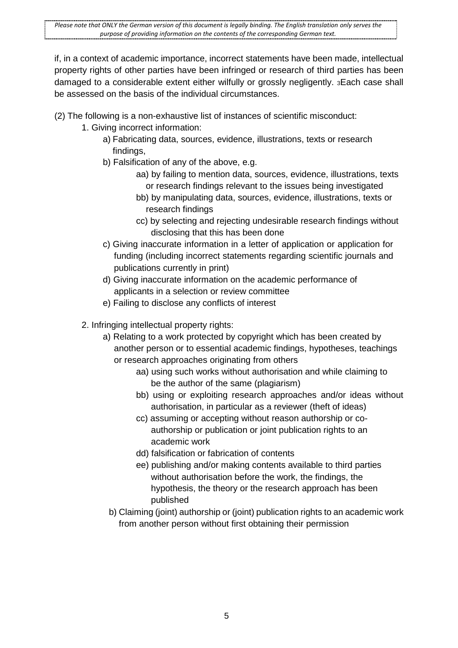if, in a context of academic importance, incorrect statements have been made, intellectual property rights of other parties have been infringed or research of third parties has been damaged to a considerable extent either wilfully or grossly negligently. 3Each case shall be assessed on the basis of the individual circumstances.

- (2) The following is a non-exhaustive list of instances of scientific misconduct:
	- 1. Giving incorrect information:
		- a) Fabricating data, sources, evidence, illustrations, texts or research findings,
		- b) Falsification of any of the above, e.g.
			- aa) by failing to mention data, sources, evidence, illustrations, texts or research findings relevant to the issues being investigated
			- bb) by manipulating data, sources, evidence, illustrations, texts or research findings
			- cc) by selecting and rejecting undesirable research findings without disclosing that this has been done
		- c) Giving inaccurate information in a letter of application or application for funding (including incorrect statements regarding scientific journals and publications currently in print)
		- d) Giving inaccurate information on the academic performance of applicants in a selection or review committee
		- e) Failing to disclose any conflicts of interest
	- 2. Infringing intellectual property rights:
		- a) Relating to a work protected by copyright which has been created by another person or to essential academic findings, hypotheses, teachings or research approaches originating from others
			- aa) using such works without authorisation and while claiming to be the author of the same (plagiarism)
			- bb) using or exploiting research approaches and/or ideas without authorisation, in particular as a reviewer (theft of ideas)
			- cc) assuming or accepting without reason authorship or coauthorship or publication or joint publication rights to an academic work
			- dd) falsification or fabrication of contents
			- ee) publishing and/or making contents available to third parties without authorisation before the work, the findings, the hypothesis, the theory or the research approach has been published
			- b) Claiming (joint) authorship or (joint) publication rights to an academic work from another person without first obtaining their permission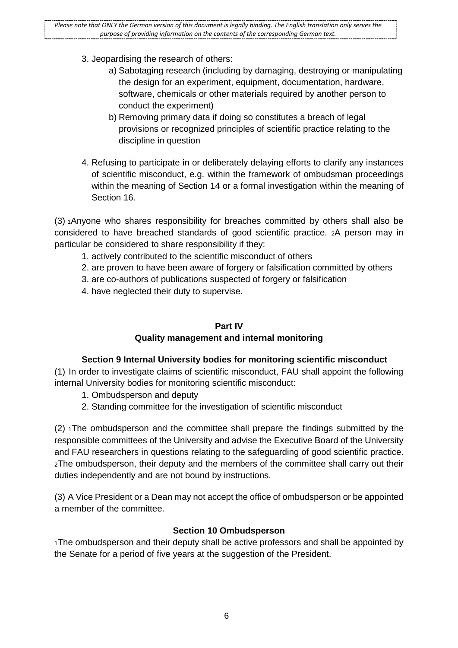- 3. Jeopardising the research of others:
	- a) Sabotaging research (including by damaging, destroying or manipulating the design for an experiment, equipment, documentation, hardware, software, chemicals or other materials required by another person to conduct the experiment)
	- b) Removing primary data if doing so constitutes a breach of legal provisions or recognized principles of scientific practice relating to the discipline in question
- 4. Refusing to participate in or deliberately delaying efforts to clarify any instances of scientific misconduct, e.g. within the framework of ombudsman proceedings within the meaning of Section 14 or a formal investigation within the meaning of Section 16.

(3) 1Anyone who shares responsibility for breaches committed by others shall also be considered to have breached standards of good scientific practice. 2A person may in particular be considered to share responsibility if they:

- 1. actively contributed to the scientific misconduct of others
- 2. are proven to have been aware of forgery or falsification committed by others
- 3. are co-authors of publications suspected of forgery or falsification
- <span id="page-5-0"></span>4. have neglected their duty to supervise.

### **Part IV**

## **Quality management and internal monitoring**

### **Section 9 Internal University bodies for monitoring scientific misconduct**

<span id="page-5-2"></span><span id="page-5-1"></span>(1) In order to investigate claims of scientific misconduct, FAU shall appoint the following internal University bodies for monitoring scientific misconduct:

- 1. Ombudsperson and deputy
- 2. Standing committee for the investigation of scientific misconduct

(2) 1The ombudsperson and the committee shall prepare the findings submitted by the responsible committees of the University and advise the Executive Board of the University and FAU researchers in questions relating to the safeguarding of good scientific practice. 2The ombudsperson, their deputy and the members of the committee shall carry out their duties independently and are not bound by instructions.

(3) A Vice President or a Dean may not accept the office of ombudsperson or be appointed a member of the committee.

### **Section 10 Ombudsperson**

<span id="page-5-3"></span>1The ombudsperson and their deputy shall be active professors and shall be appointed by the Senate for a period of five years at the suggestion of the President.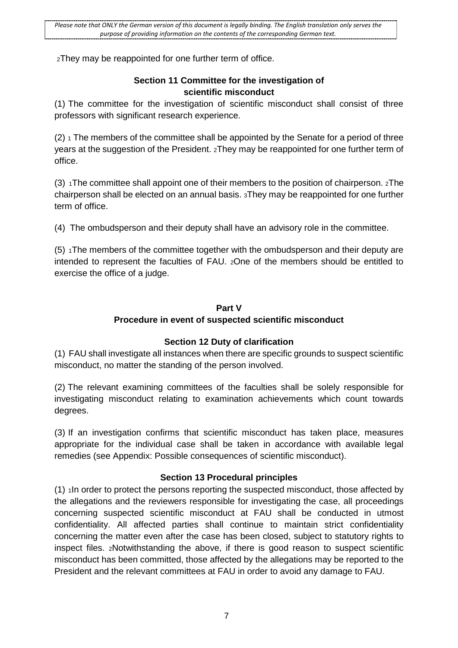2They may be reappointed for one further term of office.

### **Section 11 Committee for the investigation of scientific misconduct**

<span id="page-6-0"></span>(1) The committee for the investigation of scientific misconduct shall consist of three professors with significant research experience.

 $(2)$  1 The members of the committee shall be appointed by the Senate for a period of three years at the suggestion of the President. 2They may be reappointed for one further term of office.

(3) 1The committee shall appoint one of their members to the position of chairperson. 2The chairperson shall be elected on an annual basis. 3They may be reappointed for one further term of office.

(4) The ombudsperson and their deputy shall have an advisory role in the committee.

(5) 1The members of the committee together with the ombudsperson and their deputy are intended to represent the faculties of FAU. 2One of the members should be entitled to exercise the office of a judge.

### **Part V**

### **Procedure in event of suspected scientific misconduct**

### **Section 12 Duty of clarification**

<span id="page-6-3"></span><span id="page-6-2"></span><span id="page-6-1"></span>(1) FAU shall investigate all instances when there are specific grounds to suspect scientific misconduct, no matter the standing of the person involved.

(2) The relevant examining committees of the faculties shall be solely responsible for investigating misconduct relating to examination achievements which count towards degrees.

(3) If an investigation confirms that scientific misconduct has taken place, measures appropriate for the individual case shall be taken in accordance with available legal remedies (see Appendix: Possible consequences of scientific misconduct).

## **Section 13 Procedural principles**

<span id="page-6-4"></span>(1) 1In order to protect the persons reporting the suspected misconduct, those affected by the allegations and the reviewers responsible for investigating the case, all proceedings concerning suspected scientific misconduct at FAU shall be conducted in utmost confidentiality. All affected parties shall continue to maintain strict confidentiality concerning the matter even after the case has been closed, subject to statutory rights to inspect files. 2Notwithstanding the above, if there is good reason to suspect scientific misconduct has been committed, those affected by the allegations may be reported to the President and the relevant committees at FAU in order to avoid any damage to FAU.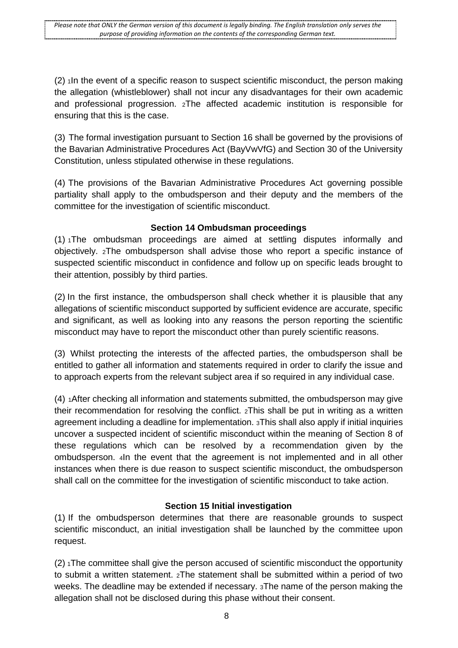$(2)$  1In the event of a specific reason to suspect scientific misconduct, the person making the allegation (whistleblower) shall not incur any disadvantages for their own academic and professional progression. 2The affected academic institution is responsible for ensuring that this is the case.

(3) The formal investigation pursuant to Section 16 shall be governed by the provisions of the Bavarian Administrative Procedures Act (BayVwVfG) and Section 30 of the University Constitution, unless stipulated otherwise in these regulations.

(4) The provisions of the Bavarian Administrative Procedures Act governing possible partiality shall apply to the ombudsperson and their deputy and the members of the committee for the investigation of scientific misconduct.

### **Section 14 Ombudsman proceedings**

<span id="page-7-0"></span>(1) 1The ombudsman proceedings are aimed at settling disputes informally and objectively. 2The ombudsperson shall advise those who report a specific instance of suspected scientific misconduct in confidence and follow up on specific leads brought to their attention, possibly by third parties.

(2) In the first instance, the ombudsperson shall check whether it is plausible that any allegations of scientific misconduct supported by sufficient evidence are accurate, specific and significant, as well as looking into any reasons the person reporting the scientific misconduct may have to report the misconduct other than purely scientific reasons.

(3) Whilst protecting the interests of the affected parties, the ombudsperson shall be entitled to gather all information and statements required in order to clarify the issue and to approach experts from the relevant subject area if so required in any individual case.

(4) 1After checking all information and statements submitted, the ombudsperson may give their recommendation for resolving the conflict. 2This shall be put in writing as a written agreement including a deadline for implementation. 3This shall also apply if initial inquiries uncover a suspected incident of scientific misconduct within the meaning of Section 8 of these regulations which can be resolved by a recommendation given by the ombudsperson. 4In the event that the agreement is not implemented and in all other instances when there is due reason to suspect scientific misconduct, the ombudsperson shall call on the committee for the investigation of scientific misconduct to take action.

## **Section 15 Initial investigation**

<span id="page-7-1"></span>(1) If the ombudsperson determines that there are reasonable grounds to suspect scientific misconduct, an initial investigation shall be launched by the committee upon request.

 $(2)$  1The committee shall give the person accused of scientific misconduct the opportunity to submit a written statement. 2The statement shall be submitted within a period of two weeks. The deadline may be extended if necessary. 3The name of the person making the allegation shall not be disclosed during this phase without their consent.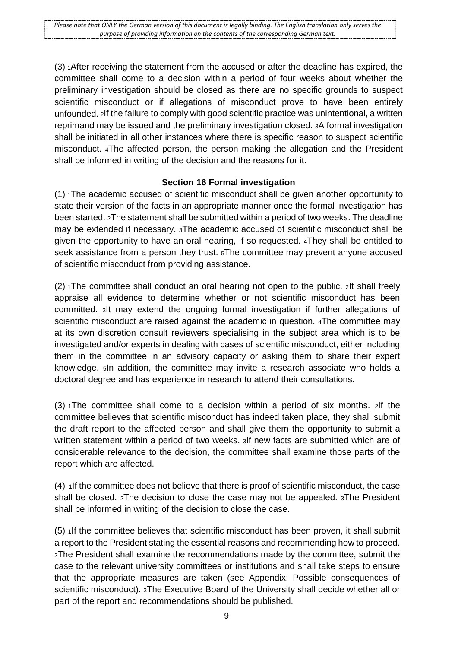$(3)$  1 After receiving the statement from the accused or after the deadline has expired, the committee shall come to a decision within a period of four weeks about whether the preliminary investigation should be closed as there are no specific grounds to suspect scientific misconduct or if allegations of misconduct prove to have been entirely unfounded. 2If the failure to comply with good scientific practice was unintentional, a written reprimand may be issued and the preliminary investigation closed. 3A formal investigation shall be initiated in all other instances where there is specific reason to suspect scientific misconduct. 4The affected person, the person making the allegation and the President shall be informed in writing of the decision and the reasons for it.

### **Section 16 Formal investigation**

<span id="page-8-0"></span> $(1)$  The academic accused of scientific misconduct shall be given another opportunity to state their version of the facts in an appropriate manner once the formal investigation has been started. 2The statement shall be submitted within a period of two weeks. The deadline may be extended if necessary. 3The academic accused of scientific misconduct shall be given the opportunity to have an oral hearing, if so requested. 4They shall be entitled to seek assistance from a person they trust. 5The committee may prevent anyone accused of scientific misconduct from providing assistance.

(2) 1The committee shall conduct an oral hearing not open to the public. 2It shall freely appraise all evidence to determine whether or not scientific misconduct has been committed. 3It may extend the ongoing formal investigation if further allegations of scientific misconduct are raised against the academic in question. 4The committee may at its own discretion consult reviewers specialising in the subject area which is to be investigated and/or experts in dealing with cases of scientific misconduct, either including them in the committee in an advisory capacity or asking them to share their expert knowledge. 5In addition, the committee may invite a research associate who holds a doctoral degree and has experience in research to attend their consultations.

 $(3)$  The committee shall come to a decision within a period of six months. 2If the committee believes that scientific misconduct has indeed taken place, they shall submit the draft report to the affected person and shall give them the opportunity to submit a written statement within a period of two weeks. 3If new facts are submitted which are of considerable relevance to the decision, the committee shall examine those parts of the report which are affected.

(4) 1If the committee does not believe that there is proof of scientific misconduct, the case shall be closed. 2The decision to close the case may not be appealed. 3The President shall be informed in writing of the decision to close the case.

(5) 1If the committee believes that scientific misconduct has been proven, it shall submit a report to the President stating the essential reasons and recommending how to proceed. 2The President shall examine the recommendations made by the committee, submit the case to the relevant university committees or institutions and shall take steps to ensure that the appropriate measures are taken (see Appendix: Possible consequences of scientific misconduct). 3The Executive Board of the University shall decide whether all or part of the report and recommendations should be published.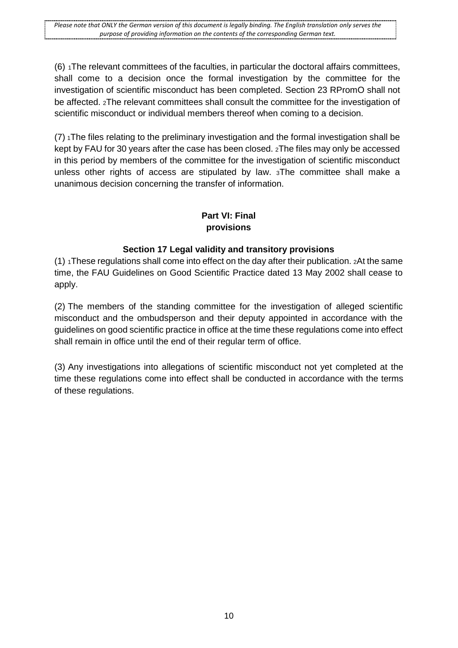*Please note that ONLY the German version of this document is legally binding. The English translation only serves the purpose of providing information on the contents of the corresponding German text.*

 $(6)$  1The relevant committees of the faculties, in particular the doctoral affairs committees, shall come to a decision once the formal investigation by the committee for the investigation of scientific misconduct has been completed. Section 23 RPromO shall not be affected. 2The relevant committees shall consult the committee for the investigation of scientific misconduct or individual members thereof when coming to a decision.

 $(7)$  1The files relating to the preliminary investigation and the formal investigation shall be kept by FAU for 30 years after the case has been closed. 2The files may only be accessed in this period by members of the committee for the investigation of scientific misconduct unless other rights of access are stipulated by law. 3The committee shall make a unanimous decision concerning the transfer of information.

### **Part VI: Final provisions**

### **Section 17 Legal validity and transitory provisions**

<span id="page-9-0"></span> $(1)$  1These regulations shall come into effect on the day after their publication. 2At the same time, the FAU Guidelines on Good Scientific Practice dated 13 May 2002 shall cease to apply.

(2) The members of the standing committee for the investigation of alleged scientific misconduct and the ombudsperson and their deputy appointed in accordance with the guidelines on good scientific practice in office at the time these regulations come into effect shall remain in office until the end of their regular term of office.

(3) Any investigations into allegations of scientific misconduct not yet completed at the time these regulations come into effect shall be conducted in accordance with the terms of these regulations.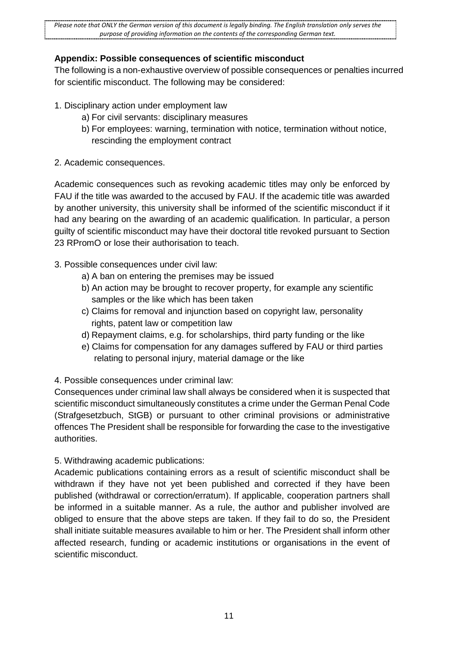## <span id="page-10-0"></span>**Appendix: Possible consequences of scientific misconduct**

The following is a non-exhaustive overview of possible consequences or penalties incurred for scientific misconduct. The following may be considered:

- 1. Disciplinary action under employment law
	- a) For civil servants: disciplinary measures
	- b) For employees: warning, termination with notice, termination without notice, rescinding the employment contract
- 2. Academic consequences.

Academic consequences such as revoking academic titles may only be enforced by FAU if the title was awarded to the accused by FAU. If the academic title was awarded by another university, this university shall be informed of the scientific misconduct if it had any bearing on the awarding of an academic qualification. In particular, a person guilty of scientific misconduct may have their doctoral title revoked pursuant to Section 23 RPromO or lose their authorisation to teach.

- 3. Possible consequences under civil law:
	- a) A ban on entering the premises may be issued
	- b) An action may be brought to recover property, for example any scientific samples or the like which has been taken
	- c) Claims for removal and injunction based on copyright law, personality rights, patent law or competition law
	- d) Repayment claims, e.g. for scholarships, third party funding or the like
	- e) Claims for compensation for any damages suffered by FAU or third parties relating to personal injury, material damage or the like

4. Possible consequences under criminal law:

Consequences under criminal law shall always be considered when it is suspected that scientific misconduct simultaneously constitutes a crime under the German Penal Code (Strafgesetzbuch, StGB) or pursuant to other criminal provisions or administrative offences The President shall be responsible for forwarding the case to the investigative authorities.

## 5. Withdrawing academic publications:

Academic publications containing errors as a result of scientific misconduct shall be withdrawn if they have not yet been published and corrected if they have been published (withdrawal or correction/erratum). If applicable, cooperation partners shall be informed in a suitable manner. As a rule, the author and publisher involved are obliged to ensure that the above steps are taken. If they fail to do so, the President shall initiate suitable measures available to him or her. The President shall inform other affected research, funding or academic institutions or organisations in the event of scientific misconduct.